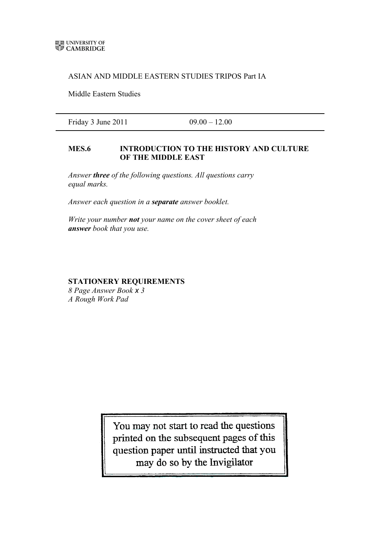## ASIAN AND MIDDLE EASTERN STUDIES TRIPOS Part IA

Middle Eastern Studies

Friday 3 June 2011 09.00 – 12.00

## **MES.6 INTRODUCTION TO THE HISTORY AND CULTURE OF THE MIDDLE EAST**

*Answer three of the following questions. All questions carry equal marks.*

*Answer each question in a separate answer booklet.*

*Write your number not your name on the cover sheet of each answer book that you use.*

## **STATIONERY REQUIREMENTS**

*8 Page Answer Book x 3 A Rough Work Pad*

> You may not start to read the questions printed on the subsequent pages of this question paper until instructed that you may do so by the Invigilator